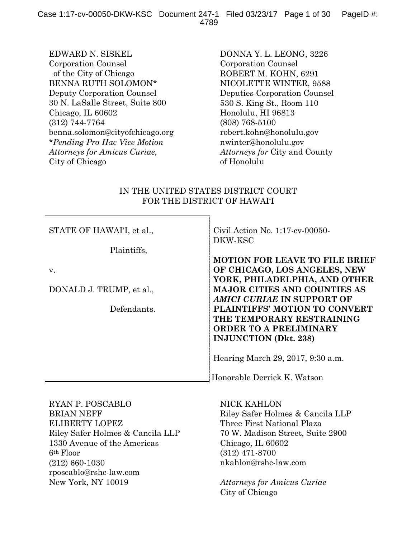EDWARD N. SISKEL Corporation Counsel of the City of Chicago BENNA RUTH SOLOMON\* Deputy Corporation Counsel 30 N. LaSalle Street, Suite 800 Chicago, IL 60602 (312) 744-7764 benna.solomon@cityofchicago.org \**Pending Pro Hac Vice Motion Attorneys for Amicus Curiae,*  City of Chicago

DONNA Y. L. LEONG, 3226 Corporation Counsel ROBERT M. KOHN, 6291 NICOLETTE WINTER, 9588 Deputies Corporation Counsel 530 S. King St., Room 110 Honolulu, HI 96813 (808) 768-5100 robert.kohn@honolulu.gov nwinter@honolulu.gov *Attorneys for* City and County of Honolulu

# IN THE UNITED STATES DISTRICT COURT FOR THE DISTRICT OF HAWAI'I

| STATE OF HAWAI'I, et al., | Civil Action No. $1:17$ -cv-00050-<br>DKW-KSC |
|---------------------------|-----------------------------------------------|
| Plaintiffs,               |                                               |
|                           | <b>MOTION FOR LEAVE TO FILE BRIEF</b>         |
| V.                        | OF CHICAGO, LOS ANGELES, NEW                  |
|                           | YORK, PHILADELPHIA, AND OTHER                 |
| DONALD J. TRUMP, et al.,  | <b>MAJOR CITIES AND COUNTIES AS</b>           |
|                           | <b>AMICI CURIAE IN SUPPORT OF</b>             |
| Defendants.               | PLAINTIFFS' MOTION TO CONVERT                 |
|                           | THE TEMPORARY RESTRAINING                     |
|                           | <b>ORDER TO A PRELIMINARY</b>                 |
|                           | <b>INJUNCTION</b> (Dkt. 238)                  |
|                           | Hearing March 29, 2017, 9:30 a.m.             |
|                           | Honorable Derrick K. Watson                   |

RYAN P. POSCABLO BRIAN NEFF ELIBERTY LOPEZ Riley Safer Holmes & Cancila LLP 1330 Avenue of the Americas 6th Floor (212) 660-1030 rposcablo@rshc-law.com New York, NY 10019

NICK KAHLON Riley Safer Holmes & Cancila LLP Three First National Plaza 70 W. Madison Street, Suite 2900 Chicago, IL 60602 (312) 471-8700 nkahlon@rshc-law.com

*Attorneys for Amicus Curiae* City of Chicago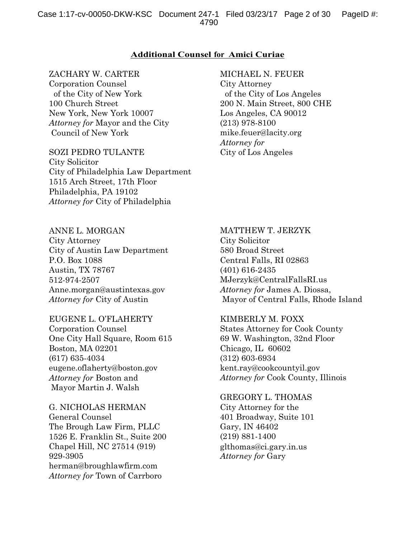## **Additional Counsel for Amici Curiae**

#### ZACHARY W. CARTER

Corporation Counsel of the City of New York 100 Church Street New York, New York 10007 *Attorney for* Mayor and the City Council of New York

SOZI PEDRO TULANTE City Solicitor City of Philadelphia Law Department 1515 Arch Street, 17th Floor Philadelphia, PA 19102 *Attorney for* City of Philadelphia

#### MICHAEL N. FEUER

City Attorney of the City of Los Angeles 200 N. Main Street, 800 CHE Los Angeles, CA 90012 (213) 978-8100 mike.feuer@lacity.org *Attorney for* City of Los Angeles

#### ANNE L. MORGAN

City Attorney City of Austin Law Department P.O. Box 1088 Austin, TX 78767 512-974-2507 Anne.morgan@austintexas.gov *Attorney for* City of Austin

EUGENE L. O'FLAHERTY Corporation Counsel One City Hall Square, Room 615 Boston, MA 02201 (617) 635-4034 eugene.oflaherty@boston.gov *Attorney for* Boston and Mayor Martin J. Walsh

G. NICHOLAS HERMAN General Counsel The Brough Law Firm, PLLC 1526 E. Franklin St., Suite 200 Chapel Hill, NC 27514 (919) 929-3905 herman@broughlawfirm.com *Attorney for* Town of Carrboro

#### MATTHEW T. JERZYK

City Solicitor 580 Broad Street Central Falls, RI 02863 (401) 616-2435 MJerzyk@CentralFallsRI.us *Attorney for* James A. Diossa, Mayor of Central Falls, Rhode Island

## KIMBERLY M. FOXX

States Attorney for Cook County 69 W. Washington, 32nd Floor Chicago, IL 60602 (312) 603-6934 kent.ray@cookcountyil.gov *Attorney for* Cook County, Illinois

#### GREGORY L. THOMAS

City Attorney for the 401 Broadway, Suite 101 Gary, IN 46402 (219) 881-1400 glthomas@ci.gary.in.us *Attorney for* Gary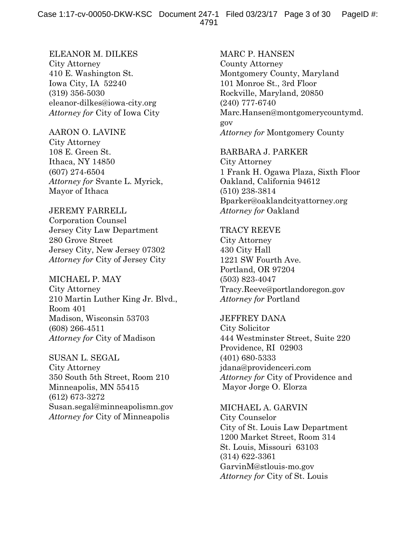ELEANOR M. DILKES City Attorney 410 E. Washington St. Iowa City, IA 52240 (319) 356-5030 eleanor-dilkes@iowa-city.org *Attorney for* City of Iowa City

#### AARON O. LAVINE

City Attorney 108 E. Green St. Ithaca, NY 14850 (607) 274-6504 *Attorney for* Svante L. Myrick, Mayor of Ithaca

## JEREMY FARRELL

Corporation Counsel Jersey City Law Department 280 Grove Street Jersey City, New Jersey 07302 *Attorney for* City of Jersey City

### MICHAEL P. MAY

City Attorney 210 Martin Luther King Jr. Blvd., Room 401 Madison, Wisconsin 53703 (608) 266-4511 *Attorney for* City of Madison

SUSAN L. SEGAL City Attorney 350 South 5th Street, Room 210 Minneapolis, MN 55415 (612) 673-3272 Susan.segal@minneapolismn.gov *Attorney for* City of Minneapolis

MARC P. HANSEN County Attorney Montgomery County, Maryland 101 Monroe St., 3rd Floor Rockville, Maryland, 20850 (240) 777-6740 Marc.Hansen@montgomerycountymd. gov *Attorney for* Montgomery County

#### BARBARA J. PARKER

City Attorney 1 Frank H. Ogawa Plaza, Sixth Floor Oakland, California 94612 (510) 238-3814 Bparker@oaklandcityattorney.org *Attorney for* Oakland

### TRACY REEVE

City Attorney 430 City Hall 1221 SW Fourth Ave. Portland, OR 97204 (503) 823-4047 Tracy.Reeve@portlandoregon.gov *Attorney for* Portland

# JEFFREY DANA

City Solicitor 444 Westminster Street, Suite 220 Providence, RI 02903 (401) 680-5333 jdana@providenceri.com *Attorney for* City of Providence and Mayor Jorge O. Elorza

MICHAEL A. GARVIN City Counselor City of St. Louis Law Department 1200 Market Street, Room 314 St. Louis, Missouri 63103 (314) 622-3361 GarvinM@stlouis-mo.gov *Attorney for* City of St. Louis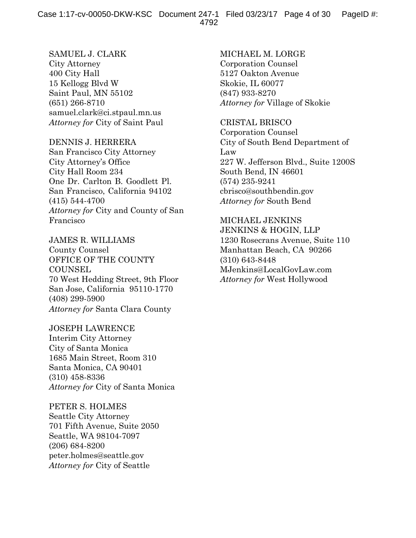SAMUEL J. CLARK City Attorney 400 City Hall 15 Kellogg Blvd W Saint Paul, MN 55102 (651) 266-8710 samuel.clark@ci.stpaul.mn.us *Attorney for* City of Saint Paul

DENNIS J. HERRERA San Francisco City Attorney City Attorney's Office City Hall Room 234 One Dr. Carlton B. Goodlett Pl. San Francisco, California 94102 (415) 544-4700 *Attorney for* City and County of San

Francisco

JAMES R. WILLIAMS County Counsel OFFICE OF THE COUNTY **COUNSEL** 70 West Hedding Street, 9th Floor San Jose, California 95110-1770 (408) 299-5900 *Attorney for* Santa Clara County

JOSEPH LAWRENCE Interim City Attorney City of Santa Monica 1685 Main Street, Room 310 Santa Monica, CA 90401 (310) 458-8336 *Attorney for* City of Santa Monica

PETER S. HOLMES Seattle City Attorney 701 Fifth Avenue, Suite 2050 Seattle, WA 98104-7097 (206) 684-8200 peter.holmes@seattle.gov *Attorney for* City of Seattle

MICHAEL M. LORGE Corporation Counsel 5127 Oakton Avenue Skokie, IL 60077 (847) 933-8270 *Attorney for* Village of Skokie

CRISTAL BRISCO Corporation Counsel City of South Bend Department of Law 227 W. Jefferson Blvd., Suite 1200S South Bend, IN 46601 (574) 235-9241 cbrisco@southbendin.gov

*Attorney for* South Bend

MICHAEL JENKINS JENKINS & HOGIN, LLP 1230 Rosecrans Avenue, Suite 110 Manhattan Beach, CA 90266 (310) 643-8448 MJenkins@LocalGovLaw.com *Attorney for* West Hollywood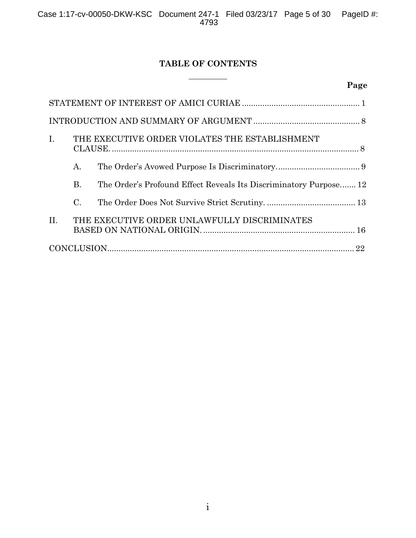# **TABLE OF CONTENTS**

 $\overline{a}$ 

# **Page**

| Ι.  |                 | THE EXECUTIVE ORDER VIOLATES THE ESTABLISHMENT                    |  |
|-----|-----------------|-------------------------------------------------------------------|--|
|     | А.              |                                                                   |  |
|     | Β.              | The Order's Profound Effect Reveals Its Discriminatory Purpose 12 |  |
|     | $\mathcal{C}$ . |                                                                   |  |
| II. |                 | THE EXECUTIVE ORDER UNLAWFULLY DISCRIMINATES                      |  |
|     |                 |                                                                   |  |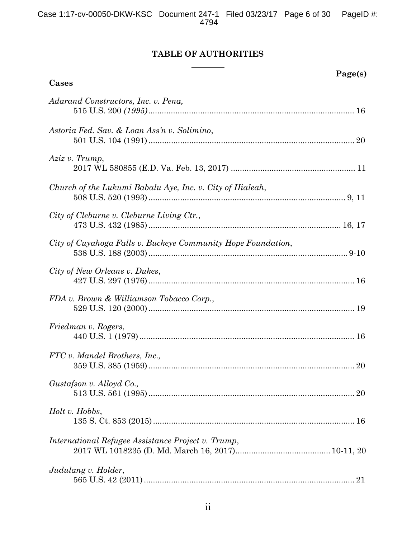# **TABLE OF AUTHORITIES**

| Page(s)<br>Cases                                             |  |
|--------------------------------------------------------------|--|
| Adarand Constructors, Inc. v. Pena,                          |  |
| Astoria Fed. Sav. & Loan Ass'n v. Solimino,                  |  |
| Aziz v. Trump,                                               |  |
| Church of the Lukumi Babalu Aye, Inc. v. City of Hialeah,    |  |
| City of Cleburne v. Cleburne Living Ctr.,                    |  |
| City of Cuyahoga Falls v. Buckeye Community Hope Foundation, |  |
| City of New Orleans v. Dukes,                                |  |
| FDA v. Brown & Williamson Tobacco Corp.,                     |  |
| Friedman v. Rogers,                                          |  |
| FTC v. Mandel Brothers, Inc.,                                |  |
| Gustafson v. Alloyd Co.,                                     |  |
| Holt v. Hobbs,                                               |  |
| International Refugee Assistance Project v. Trump,           |  |
| Judulang v. Holder,                                          |  |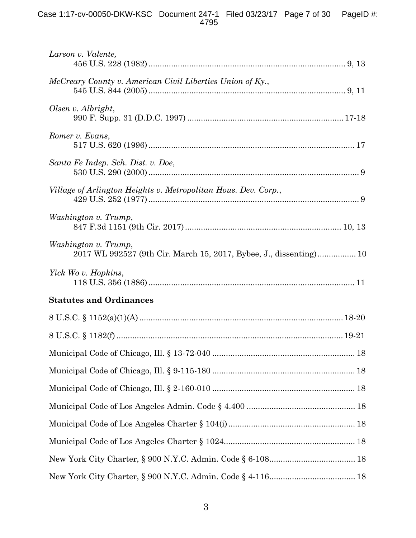| Larson v. Valente,                                                                         |  |
|--------------------------------------------------------------------------------------------|--|
| McCreary County v. American Civil Liberties Union of Ky.,                                  |  |
| Olsen v. Albright,                                                                         |  |
| Romer v. Evans,                                                                            |  |
| Santa Fe Indep. Sch. Dist. v. Doe,                                                         |  |
| Village of Arlington Heights v. Metropolitan Hous. Dev. Corp.,                             |  |
| Washington v. Trump,                                                                       |  |
| Washington v. Trump,<br>2017 WL 992527 (9th Cir. March 15, 2017, Bybee, J., dissenting) 10 |  |
| Yick Wo v. Hopkins,                                                                        |  |
| <b>Statutes and Ordinances</b>                                                             |  |
|                                                                                            |  |
|                                                                                            |  |
|                                                                                            |  |
|                                                                                            |  |
|                                                                                            |  |
|                                                                                            |  |
|                                                                                            |  |
|                                                                                            |  |
|                                                                                            |  |
|                                                                                            |  |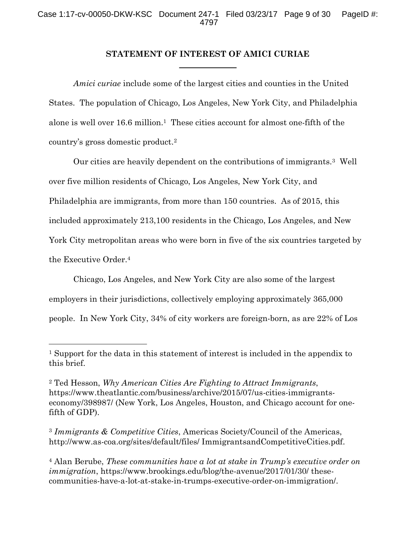## **STATEMENT OF INTEREST OF AMICI CURIAE**

*Amici curiae* include some of the largest cities and counties in the United States. The population of Chicago, Los Angeles, New York City, and Philadelphia alone is well over 16.6 million.<sup>1</sup> These cities account for almost one-fifth of the country's gross domestic product.2

Our cities are heavily dependent on the contributions of immigrants.3 Well over five million residents of Chicago, Los Angeles, New York City, and Philadelphia are immigrants, from more than 150 countries. As of 2015, this included approximately 213,100 residents in the Chicago, Los Angeles, and New York City metropolitan areas who were born in five of the six countries targeted by the Executive Order.4

Chicago, Los Angeles, and New York City are also some of the largest employers in their jurisdictions, collectively employing approximately 365,000 people. In New York City, 34% of city workers are foreign-born, as are 22% of Los

<sup>3</sup> *Immigrants & Competitive Cities*, Americas Society/Council of the Americas, http://www.as-coa.org/sites/default/files/ ImmigrantsandCompetitiveCities.pdf.

<sup>4</sup> Alan Berube, *These communities have a lot at stake in Trump's executive order on immigration*, https://www.brookings.edu/blog/the-avenue/2017/01/30/ thesecommunities-have-a-lot-at-stake-in-trumps-executive-order-on-immigration/.

<sup>1</sup> Support for the data in this statement of interest is included in the appendix to this brief.

<sup>2</sup> Ted Hesson, *Why American Cities Are Fighting to Attract Immigrants*, https://www.theatlantic.com/business/archive/2015/07/us-cities-immigrantseconomy/398987/ (New York, Los Angeles, Houston, and Chicago account for onefifth of GDP).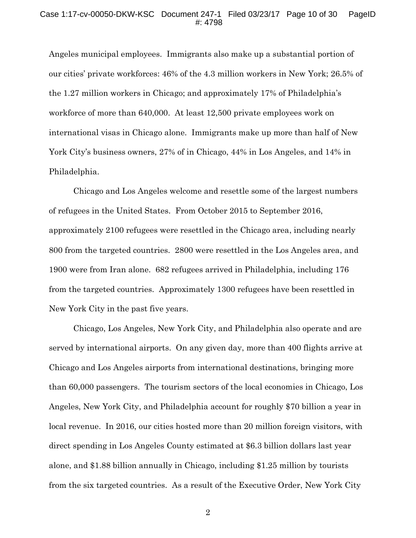Angeles municipal employees. Immigrants also make up a substantial portion of our cities' private workforces: 46% of the 4.3 million workers in New York; 26.5% of the 1.27 million workers in Chicago; and approximately 17% of Philadelphia's workforce of more than 640,000. At least 12,500 private employees work on international visas in Chicago alone. Immigrants make up more than half of New York City's business owners, 27% of in Chicago, 44% in Los Angeles, and 14% in Philadelphia.

Chicago and Los Angeles welcome and resettle some of the largest numbers of refugees in the United States. From October 2015 to September 2016, approximately 2100 refugees were resettled in the Chicago area, including nearly 800 from the targeted countries. 2800 were resettled in the Los Angeles area, and 1900 were from Iran alone. 682 refugees arrived in Philadelphia, including 176 from the targeted countries. Approximately 1300 refugees have been resettled in New York City in the past five years.

Chicago, Los Angeles, New York City, and Philadelphia also operate and are served by international airports. On any given day, more than 400 flights arrive at Chicago and Los Angeles airports from international destinations, bringing more than 60,000 passengers. The tourism sectors of the local economies in Chicago, Los Angeles, New York City, and Philadelphia account for roughly \$70 billion a year in local revenue. In 2016, our cities hosted more than 20 million foreign visitors, with direct spending in Los Angeles County estimated at \$6.3 billion dollars last year alone, and \$1.88 billion annually in Chicago, including \$1.25 million by tourists from the six targeted countries. As a result of the Executive Order, New York City

2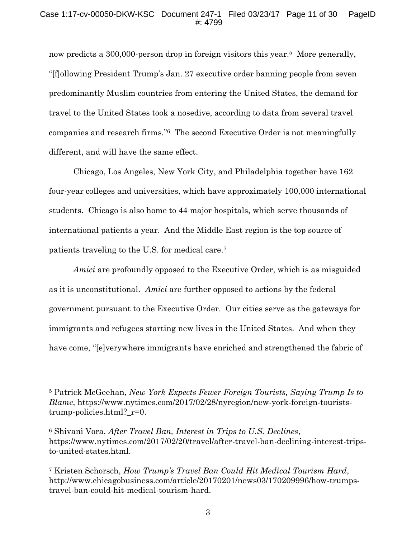now predicts a 300,000-person drop in foreign visitors this year.<sup>5</sup> More generally, "[f]ollowing President Trump's Jan. 27 executive order banning people from seven predominantly Muslim countries from entering the United States, the demand for travel to the United States took a nosedive, according to data from several travel companies and research firms."6 The second Executive Order is not meaningfully different, and will have the same effect.

Chicago, Los Angeles, New York City, and Philadelphia together have 162 four-year colleges and universities, which have approximately 100,000 international students. Chicago is also home to 44 major hospitals, which serve thousands of international patients a year. And the Middle East region is the top source of patients traveling to the U.S. for medical care.7

*Amici* are profoundly opposed to the Executive Order, which is as misguided as it is unconstitutional. *Amici* are further opposed to actions by the federal government pursuant to the Executive Order. Our cities serve as the gateways for immigrants and refugees starting new lives in the United States. And when they have come, "[e]verywhere immigrants have enriched and strengthened the fabric of

<sup>5</sup> Patrick McGeehan, *New York Expects Fewer Foreign Tourists, Saying Trump Is to Blame*, https://www.nytimes.com/2017/02/28/nyregion/new-york-foreign-touriststrump-policies.html? r=0.

<sup>6</sup> Shivani Vora, *After Travel Ban, Interest in Trips to U.S. Declines*, https://www.nytimes.com/2017/02/20/travel/after-travel-ban-declining-interest-tripsto-united-states.html.

<sup>7</sup> Kristen Schorsch, *How Trump's Travel Ban Could Hit Medical Tourism Hard*, http://www.chicagobusiness.com/article/20170201/news03/170209996/how-trumpstravel-ban-could-hit-medical-tourism-hard.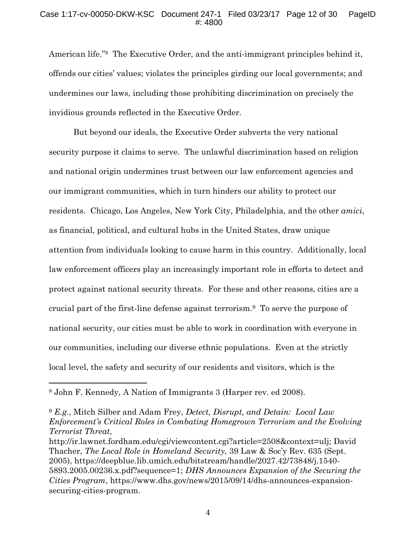American life."8 The Executive Order, and the anti-immigrant principles behind it, offends our cities' values; violates the principles girding our local governments; and undermines our laws, including those prohibiting discrimination on precisely the invidious grounds reflected in the Executive Order.

But beyond our ideals, the Executive Order subverts the very national security purpose it claims to serve. The unlawful discrimination based on religion and national origin undermines trust between our law enforcement agencies and our immigrant communities, which in turn hinders our ability to protect our residents. Chicago, Los Angeles, New York City, Philadelphia, and the other *amici*, as financial, political, and cultural hubs in the United States, draw unique attention from individuals looking to cause harm in this country. Additionally, local law enforcement officers play an increasingly important role in efforts to detect and protect against national security threats. For these and other reasons, cities are a crucial part of the first-line defense against terrorism.9 To serve the purpose of national security, our cities must be able to work in coordination with everyone in our communities, including our diverse ethnic populations. Even at the strictly local level, the safety and security of our residents and visitors, which is the

<sup>8</sup> John F. Kennedy, A Nation of Immigrants 3 (Harper rev. ed 2008).

<sup>9</sup> *E.g.*, Mitch Silber and Adam Frey, *Detect, Disrupt, and Detain: Local Law Enforcement's Critical Roles in Combating Homegrown Terrorism and the Evolving Terrorist Threat*,

securing-cities-program. http://ir.lawnet.fordham.edu/cgi/viewcontent.cgi?article=2508&context=ulj; David Thacher, *The Local Role in Homeland Security*, 39 Law & Soc'y Rev. 635 (Sept. 2005), https://deepblue.lib.umich.edu/bitstream/handle/2027.42/73848/j.1540- 5893.2005.00236.x.pdf?sequence=1; *DHS Announces Expansion of the Securing the Cities Program*, https://www.dhs.gov/news/2015/09/14/dhs-announces-expansion-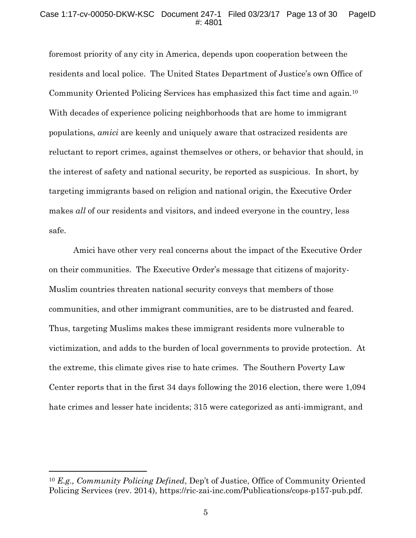#### Case 1:17-cv-00050-DKW-KSC Document 247-1 Filed 03/23/17 Page 13 of 30 PageID #: 4801

foremost priority of any city in America, depends upon cooperation between the residents and local police. The United States Department of Justice's own Office of Community Oriented Policing Services has emphasized this fact time and again.10 With decades of experience policing neighborhoods that are home to immigrant populations, *amici* are keenly and uniquely aware that ostracized residents are reluctant to report crimes, against themselves or others, or behavior that should, in the interest of safety and national security, be reported as suspicious. In short, by targeting immigrants based on religion and national origin, the Executive Order makes *all* of our residents and visitors, and indeed everyone in the country, less safe.

Amici have other very real concerns about the impact of the Executive Order on their communities. The Executive Order's message that citizens of majority-Muslim countries threaten national security conveys that members of those communities, and other immigrant communities, are to be distrusted and feared. Thus, targeting Muslims makes these immigrant residents more vulnerable to victimization, and adds to the burden of local governments to provide protection. At the extreme, this climate gives rise to hate crimes. The Southern Poverty Law Center reports that in the first 34 days following the 2016 election, there were 1,094 hate crimes and lesser hate incidents; 315 were categorized as anti-immigrant, and

<sup>10</sup> *E.g., Community Policing Defined*, Dep't of Justice, Office of Community Oriented Policing Services (rev. 2014), https://ric-zai-inc.com/Publications/cops-p157-pub.pdf.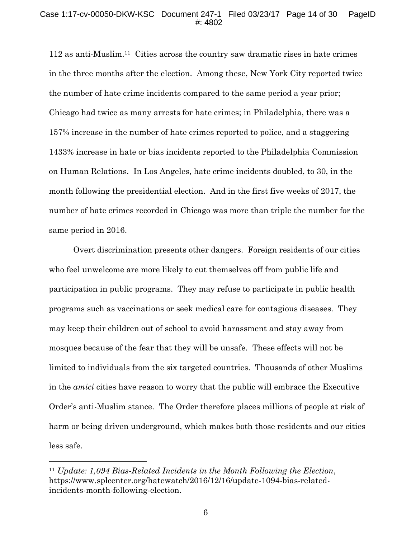#### Case 1:17-cv-00050-DKW-KSC Document 247-1 Filed 03/23/17 Page 14 of 30 PageID #: 4802

112 as anti-Muslim.11 Cities across the country saw dramatic rises in hate crimes in the three months after the election. Among these, New York City reported twice the number of hate crime incidents compared to the same period a year prior; Chicago had twice as many arrests for hate crimes; in Philadelphia, there was a 157% increase in the number of hate crimes reported to police, and a staggering 1433% increase in hate or bias incidents reported to the Philadelphia Commission on Human Relations. In Los Angeles, hate crime incidents doubled, to 30, in the month following the presidential election. And in the first five weeks of 2017, the number of hate crimes recorded in Chicago was more than triple the number for the same period in 2016.

Overt discrimination presents other dangers. Foreign residents of our cities who feel unwelcome are more likely to cut themselves off from public life and participation in public programs. They may refuse to participate in public health programs such as vaccinations or seek medical care for contagious diseases. They may keep their children out of school to avoid harassment and stay away from mosques because of the fear that they will be unsafe. These effects will not be limited to individuals from the six targeted countries. Thousands of other Muslims in the *amici* cities have reason to worry that the public will embrace the Executive Order's anti-Muslim stance. The Order therefore places millions of people at risk of harm or being driven underground, which makes both those residents and our cities less safe.

<sup>11</sup> *Update: 1,094 Bias-Related Incidents in the Month Following the Election*, https://www.splcenter.org/hatewatch/2016/12/16/update-1094-bias-relatedincidents-month-following-election.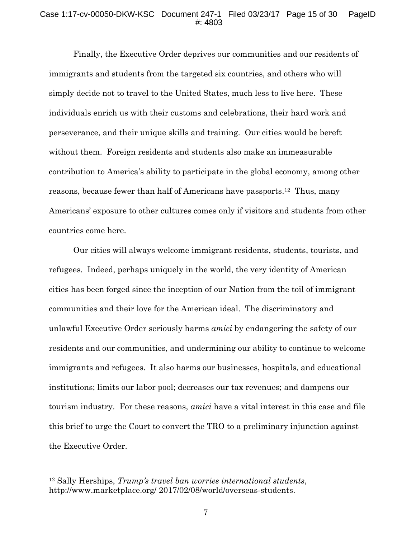#### Case 1:17-cv-00050-DKW-KSC Document 247-1 Filed 03/23/17 Page 15 of 30 PageID #: 4803

Finally, the Executive Order deprives our communities and our residents of immigrants and students from the targeted six countries, and others who will simply decide not to travel to the United States, much less to live here. These individuals enrich us with their customs and celebrations, their hard work and perseverance, and their unique skills and training. Our cities would be bereft without them. Foreign residents and students also make an immeasurable contribution to America's ability to participate in the global economy, among other reasons, because fewer than half of Americans have passports.12 Thus, many Americans' exposure to other cultures comes only if visitors and students from other countries come here.

Our cities will always welcome immigrant residents, students, tourists, and refugees. Indeed, perhaps uniquely in the world, the very identity of American cities has been forged since the inception of our Nation from the toil of immigrant communities and their love for the American ideal. The discriminatory and unlawful Executive Order seriously harms *amici* by endangering the safety of our residents and our communities, and undermining our ability to continue to welcome immigrants and refugees. It also harms our businesses, hospitals, and educational institutions; limits our labor pool; decreases our tax revenues; and dampens our tourism industry. For these reasons, *amici* have a vital interest in this case and file this brief to urge the Court to convert the TRO to a preliminary injunction against the Executive Order.

<sup>12</sup> Sally Herships, *Trump's travel ban worries international students*, http://www.marketplace.org/ 2017/02/08/world/overseas-students.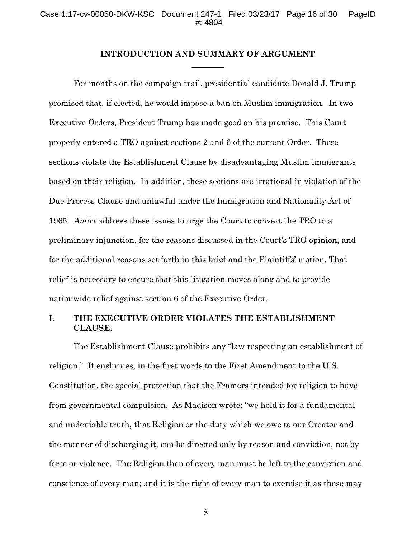#### **INTRODUCTION AND SUMMARY OF ARGUMENT**

For months on the campaign trail, presidential candidate Donald J. Trump promised that, if elected, he would impose a ban on Muslim immigration. In two Executive Orders, President Trump has made good on his promise. This Court properly entered a TRO against sections 2 and 6 of the current Order. These sections violate the Establishment Clause by disadvantaging Muslim immigrants based on their religion. In addition, these sections are irrational in violation of the Due Process Clause and unlawful under the Immigration and Nationality Act of 1965. *Amici* address these issues to urge the Court to convert the TRO to a preliminary injunction, for the reasons discussed in the Court's TRO opinion, and for the additional reasons set forth in this brief and the Plaintiffs' motion. That relief is necessary to ensure that this litigation moves along and to provide nationwide relief against section 6 of the Executive Order.

# **I. THE EXECUTIVE ORDER VIOLATES THE ESTABLISHMENT CLAUSE.**

The Establishment Clause prohibits any "law respecting an establishment of religion." It enshrines, in the first words to the First Amendment to the U.S. Constitution, the special protection that the Framers intended for religion to have from governmental compulsion. As Madison wrote: "we hold it for a fundamental and undeniable truth, that Religion or the duty which we owe to our Creator and the manner of discharging it, can be directed only by reason and conviction, not by force or violence. The Religion then of every man must be left to the conviction and conscience of every man; and it is the right of every man to exercise it as these may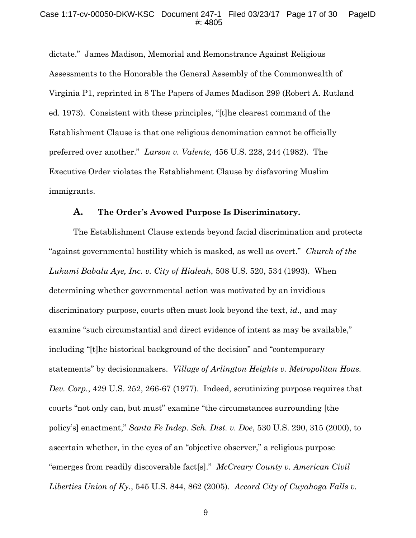dictate." James Madison, Memorial and Remonstrance Against Religious Assessments to the Honorable the General Assembly of the Commonwealth of Virginia P1, reprinted in 8 The Papers of James Madison 299 (Robert A. Rutland ed. 1973). Consistent with these principles, "[t]he clearest command of the Establishment Clause is that one religious denomination cannot be officially preferred over another." *Larson v. Valente,* 456 U.S. 228, 244 (1982). The Executive Order violates the Establishment Clause by disfavoring Muslim immigrants.

#### **A. The Order's Avowed Purpose Is Discriminatory.**

The Establishment Clause extends beyond facial discrimination and protects "against governmental hostility which is masked, as well as overt." *Church of the Lukumi Babalu Aye, Inc. v. City of Hialeah*, 508 U.S. 520, 534 (1993). When determining whether governmental action was motivated by an invidious discriminatory purpose, courts often must look beyond the text, *id.,* and may examine "such circumstantial and direct evidence of intent as may be available," including "[t]he historical background of the decision" and "contemporary statements" by decisionmakers. *Village of Arlington Heights v. Metropolitan Hous. Dev. Corp.*, 429 U.S. 252, 266-67 (1977). Indeed, scrutinizing purpose requires that courts "not only can, but must" examine "the circumstances surrounding [the policy's] enactment," *Santa Fe Indep. Sch. Dist. v. Doe*, 530 U.S. 290, 315 (2000), to ascertain whether, in the eyes of an "objective observer," a religious purpose "emerges from readily discoverable fact[s]." *McCreary County v. American Civil Liberties Union of Ky.*, 545 U.S. 844, 862 (2005). *Accord City of Cuyahoga Falls v.*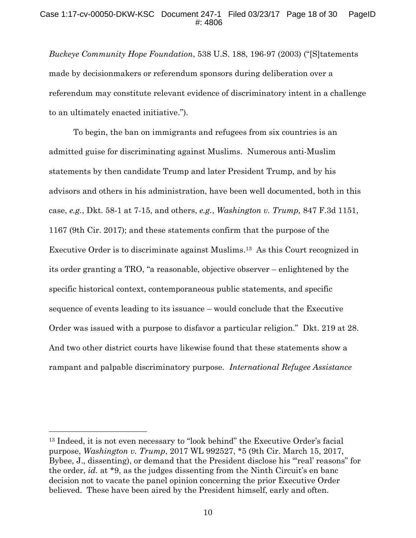#### Case 1:17-cv-00050-DKW-KSC Document 247-1 Filed 03/23/17 Page 18 of 30 PageID #: 4806

*Buckeye Community Hope Foundation*, 538 U.S. 188, 196-97 (2003) ("[S]tatements made by decisionmakers or referendum sponsors during deliberation over a referendum may constitute relevant evidence of discriminatory intent in a challenge to an ultimately enacted initiative.").

To begin, the ban on immigrants and refugees from six countries is an admitted guise for discriminating against Muslims. Numerous anti-Muslim statements by then candidate Trump and later President Trump, and by his advisors and others in his administration, have been well documented, both in this case, *e.g.*, Dkt. 58-1 at 7-15, and others, *e.g.*, *Washington v. Trump,* 847 F.3d 1151, 1167 (9th Cir. 2017); and these statements confirm that the purpose of the Executive Order is to discriminate against Muslims.13 As this Court recognized in its order granting a TRO, "a reasonable, objective observer – enlightened by the specific historical context, contemporaneous public statements, and specific sequence of events leading to its issuance – would conclude that the Executive Order was issued with a purpose to disfavor a particular religion." Dkt. 219 at 28. And two other district courts have likewise found that these statements show a rampant and palpable discriminatory purpose. *International Refugee Assistance*

<sup>13</sup> Indeed, it is not even necessary to "look behind" the Executive Order's facial purpose, *Washington v. Trump*, 2017 WL 992527, \*5 (9th Cir. March 15, 2017, Bybee, J., dissenting), or demand that the President disclose his "'real' reasons" for the order, *id.* at \*9, as the judges dissenting from the Ninth Circuit's en banc decision not to vacate the panel opinion concerning the prior Executive Order believed. These have been aired by the President himself, early and often.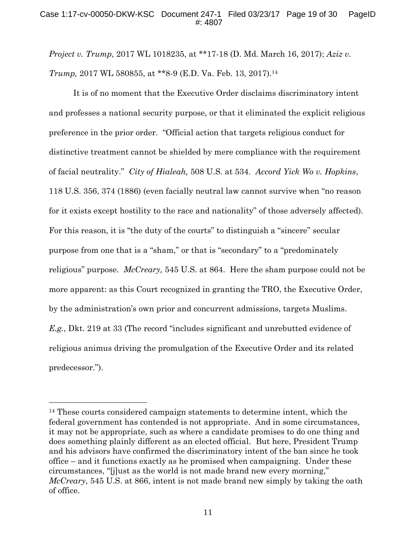*Project v. Trump*, 2017 WL 1018235, at \*\*17-18 (D. Md. March 16, 2017); *Aziz v. Trump,* 2017 WL 580855, at \*\*8-9 (E.D. Va. Feb. 13, 2017).14

It is of no moment that the Executive Order disclaims discriminatory intent and professes a national security purpose, or that it eliminated the explicit religious preference in the prior order. "Official action that targets religious conduct for distinctive treatment cannot be shielded by mere compliance with the requirement of facial neutrality." *City of Hialeah,* 508 U.S. at 534. *Accord Yick Wo v. Hopkins*, 118 U.S. 356, 374 (1886) (even facially neutral law cannot survive when "no reason for it exists except hostility to the race and nationality" of those adversely affected). For this reason, it is "the duty of the courts" to distinguish a "sincere" secular purpose from one that is a "sham," or that is "secondary" to a "predominately religious" purpose. *McCreary,* 545 U.S. at 864. Here the sham purpose could not be more apparent: as this Court recognized in granting the TRO, the Executive Order, by the administration's own prior and concurrent admissions, targets Muslims. *E.g.*, Dkt. 219 at 33 (The record "includes significant and unrebutted evidence of religious animus driving the promulgation of the Executive Order and its related predecessor.").

<sup>14</sup> These courts considered campaign statements to determine intent, which the federal government has contended is not appropriate. And in some circumstances, it may not be appropriate, such as where a candidate promises to do one thing and does something plainly different as an elected official. But here, President Trump and his advisors have confirmed the discriminatory intent of the ban since he took office – and it functions exactly as he promised when campaigning. Under these circumstances, "[j]ust as the world is not made brand new every morning," *McCreary*, 545 U.S. at 866, intent is not made brand new simply by taking the oath of office.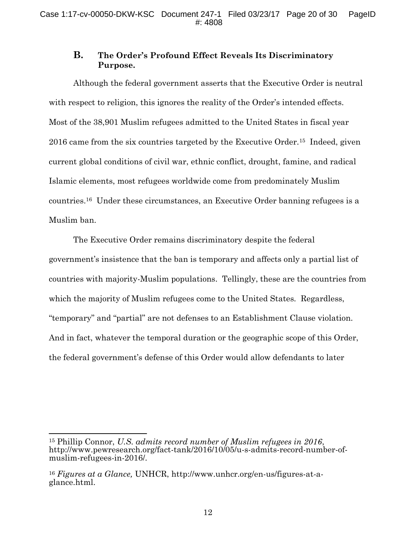# **B. The Order's Profound Effect Reveals Its Discriminatory Purpose.**

Although the federal government asserts that the Executive Order is neutral with respect to religion, this ignores the reality of the Order's intended effects. Most of the 38,901 Muslim refugees admitted to the United States in fiscal year 2016 came from the six countries targeted by the Executive Order.15 Indeed, given current global conditions of civil war, ethnic conflict, drought, famine, and radical Islamic elements, most refugees worldwide come from predominately Muslim countries.16 Under these circumstances, an Executive Order banning refugees is a Muslim ban.

The Executive Order remains discriminatory despite the federal government's insistence that the ban is temporary and affects only a partial list of countries with majority-Muslim populations. Tellingly, these are the countries from which the majority of Muslim refugees come to the United States. Regardless, "temporary" and "partial" are not defenses to an Establishment Clause violation. And in fact, whatever the temporal duration or the geographic scope of this Order, the federal government's defense of this Order would allow defendants to later

<sup>15</sup> Phillip Connor, *U.S. admits record number of Muslim refugees in 2016*, http://www.pewresearch.org/fact-tank/2016/10/05/u-s-admits-record-number-ofmuslim-refugees-in-2016/.

<sup>16</sup> *Figures at a Glance,* UNHCR, http://www.unhcr.org/en-us/figures-at-aglance.html.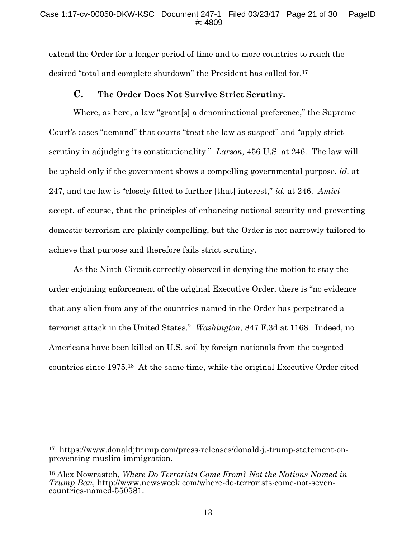extend the Order for a longer period of time and to more countries to reach the desired "total and complete shutdown" the President has called for.17

# **C. The Order Does Not Survive Strict Scrutiny.**

Where, as here, a law "grant[s] a denominational preference," the Supreme Court's cases "demand" that courts "treat the law as suspect" and "apply strict scrutiny in adjudging its constitutionality." *Larson,* 456 U.S. at 246. The law will be upheld only if the government shows a compelling governmental purpose, *id.* at 247, and the law is "closely fitted to further [that] interest," *id.* at 246. *Amici* accept, of course, that the principles of enhancing national security and preventing domestic terrorism are plainly compelling, but the Order is not narrowly tailored to achieve that purpose and therefore fails strict scrutiny.

As the Ninth Circuit correctly observed in denying the motion to stay the order enjoining enforcement of the original Executive Order, there is "no evidence that any alien from any of the countries named in the Order has perpetrated a terrorist attack in the United States." *Washington*, 847 F.3d at 1168. Indeed, no Americans have been killed on U.S. soil by foreign nationals from the targeted countries since 1975.18 At the same time, while the original Executive Order cited

<sup>17</sup> https://www.donaldjtrump.com/press-releases/donald-j.-trump-statement-onpreventing-muslim-immigration.

<sup>18</sup> Alex Nowrasteh, *Where Do Terrorists Come From? Not the Nations Named in Trump Ban*, http://www.newsweek.com/where-do-terrorists-come-not-seven- countries-named-550581.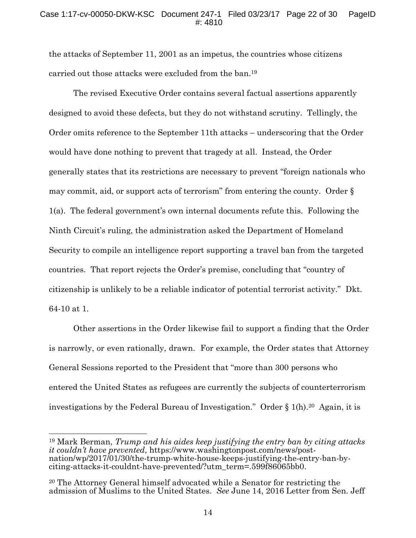## Case 1:17-cv-00050-DKW-KSC Document 247-1 Filed 03/23/17 Page 22 of 30 PageID #: 4810

the attacks of September 11, 2001 as an impetus, the countries whose citizens carried out those attacks were excluded from the ban.19

The revised Executive Order contains several factual assertions apparently designed to avoid these defects, but they do not withstand scrutiny. Tellingly, the Order omits reference to the September 11th attacks – underscoring that the Order would have done nothing to prevent that tragedy at all. Instead, the Order generally states that its restrictions are necessary to prevent "foreign nationals who may commit, aid, or support acts of terrorism" from entering the county. Order § 1(a). The federal government's own internal documents refute this. Following the Ninth Circuit's ruling, the administration asked the Department of Homeland Security to compile an intelligence report supporting a travel ban from the targeted countries. That report rejects the Order's premise, concluding that "country of citizenship is unlikely to be a reliable indicator of potential terrorist activity." Dkt. 64-10 at 1.

Other assertions in the Order likewise fail to support a finding that the Order is narrowly, or even rationally, drawn. For example, the Order states that Attorney General Sessions reported to the President that "more than 300 persons who entered the United States as refugees are currently the subjects of counterterrorism investigations by the Federal Bureau of Investigation." Order § 1(h).20 Again, it is

<sup>19</sup> Mark Berman, *Trump and his aides keep justifying the entry ban by citing attacks it couldn't have prevented*, https://www.washingtonpost.com/news/post-<br>nation/wp/2017/01/30/the-trump-white-house-keeps-justifying-the-entry-ban-by-<br>citing-attacks-it-couldnt-have-prevented/?utm\_term=.599f86065bb0.

<sup>20</sup> The Attorney General himself advocated while a Senator for restricting the admission of Muslims to the United States. *See* June 14, 2016 Letter from Sen. Jeff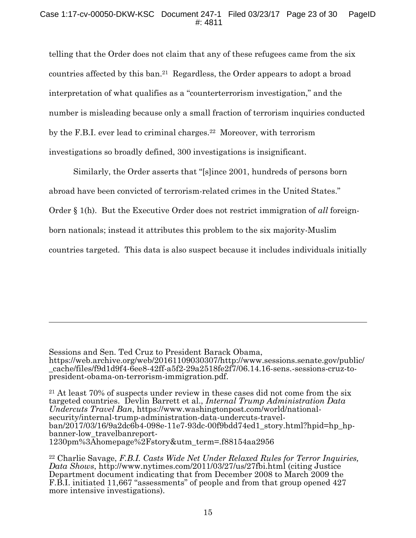telling that the Order does not claim that any of these refugees came from the six countries affected by this ban.21 Regardless, the Order appears to adopt a broad interpretation of what qualifies as a "counterterrorism investigation," and the number is misleading because only a small fraction of terrorism inquiries conducted by the F.B.I. ever lead to criminal charges.22 Moreover, with terrorism investigations so broadly defined, 300 investigations is insignificant.

Similarly, the Order asserts that "[s]ince 2001, hundreds of persons born abroad have been convicted of terrorism-related crimes in the United States." Order § 1(h). But the Executive Order does not restrict immigration of *all* foreignborn nationals; instead it attributes this problem to the six majority-Muslim countries targeted. This data is also suspect because it includes individuals initially

Sessions and Sen. Ted Cruz to President Barack Obama,

https://web.archive.org/web/20161109030307/http://www.sessions.senate.gov/public/ \_cache/files/f9d1d9f4-6ee8-42ff-a5f2-29a2518fe2f7/06.14.16-sens.-sessions-cruz-to- president-obama-on-terrorism-immigration.pdf.

<sup>21</sup> At least 70% of suspects under review in these cases did not come from the six targeted countries. Devlin Barrett et al., *Internal Trump Administration Data*  Undercuts Travel Ban, https://www.washingtonpost.com/world/national-<br>security/internal-trump-administration-data-undercuts-travel-<br>ban/2017/03/16/9a2dc6b4-098e-11e7-93dc-00f9bdd74ed1\_story.html?hpid=hp\_hp-<br>banner-low\_trave

<sup>22</sup> Charlie Savage, *F.B.I. Casts Wide Net Under Relaxed Rules for Terror Inquiries, Data Shows*, http://www.nytimes.com/2011/03/27/us/27fbi.html (citing Justice Department document indicating that from December 2008 to March 2009 the F.B.I. initiated 11,667 "assessments" of people and from that group opened 427 more intensive investigations).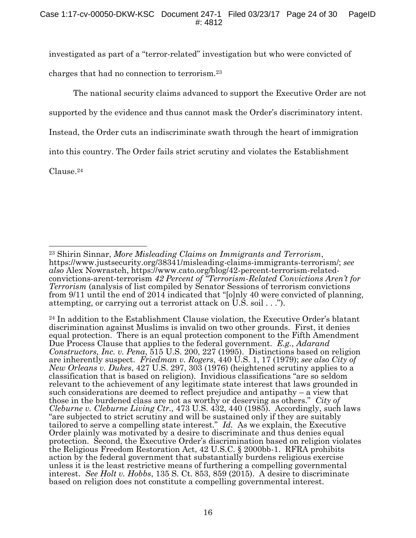investigated as part of a "terror-related" investigation but who were convicted of charges that had no connection to terrorism.23

The national security claims advanced to support the Executive Order are not

supported by the evidence and thus cannot mask the Order's discriminatory intent.

Instead, the Order cuts an indiscriminate swath through the heart of immigration

into this country. The Order fails strict scrutiny and violates the Establishment

Clause.24

<sup>&</sup>lt;sup>23</sup> Shirin Sinnar, *More Misleading Claims on Immigrants and Terrorism*,<br>https://www.justsecurity.org/38341/misleading-claims-immigrants-terrorism/; *see*<br>*also* Alex Nowrasteh, https://www.cato.org/blog/42-percent-terror *also* Alex Nowrasteh, https://www.cato.org/blog/42-percent-terrorism-related- convictions-arent-terrorism *<sup>42</sup> Percent of "Terrorism-Related Convictions Aren't for Terrorism* (analysis of list compiled by Senator Sessions of terrorism convictions from 9/11 until the end of 2014 indicated that "[o]nly 40 were convicted of planning, attempting, or carrying out a terrorist attack on U.S. soil . . .").

<sup>24</sup> In addition to the Establishment Clause violation, the Executive Order's blatant discrimination against Muslims is invalid on two other grounds. First, it denies equal protection. There is an equal protection component to the Fifth Amendment Due Process Clause that applies to the federal government. *E.g.*, *Adarand Constructors, Inc. v. Pena*, 515 U.S. 200, 227 (1995). Distinctions based on religion are inherently suspect. *Friedman v. Rogers*, 440 U.S. 1, 17 (1979); *see also City of New Orleans v. Dukes*, 427 U.S. 297, 303 (1976) (heightened scrutiny applies to a classification that is based on religion). Invidious classifications "are so seldom relevant to the achievement of any legitimate state interest that laws grounded in such considerations are deemed to reflect prejudice and antipathy – a view that those in the burdened class are not as worthy or deserving as others." *City of Cleburne v. Cleburne Living Ctr.,* 473 U.S. 432, 440 (1985). Accordingly, such laws "are subjected to strict scrutiny and will be sustained only if they are suitably tailored to serve a compelling state interest." *Id.* As we explain, the Executive Order plainly was motivated by a desire to discriminate and thus denies equal protection. Second, the Executive Order's discrimination based on religion violates the Religious Freedom Restoration Act, 42 U.S.C. § 2000bb-1. RFRA prohibits action by the federal government that substantially burdens religious exercise unless it is the least restrictive means of furthering a compelling governmental interest. *See Holt v. Hobbs*, 135 S. Ct. 853, 859 (2015). A desire to discriminate based on religion does not constitute a compelling governmental interest.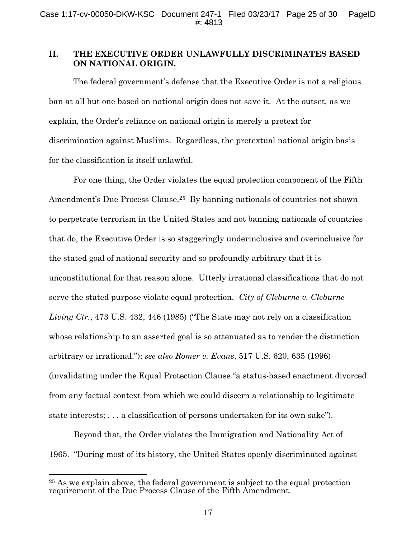# **II. THE EXECUTIVE ORDER UNLAWFULLY DISCRIMINATES BASED ON NATIONAL ORIGIN.**

The federal government's defense that the Executive Order is not a religious ban at all but one based on national origin does not save it. At the outset, as we explain, the Order's reliance on national origin is merely a pretext for discrimination against Muslims. Regardless, the pretextual national origin basis for the classification is itself unlawful.

For one thing, the Order violates the equal protection component of the Fifth Amendment's Due Process Clause.25 By banning nationals of countries not shown to perpetrate terrorism in the United States and not banning nationals of countries that do, the Executive Order is so staggeringly underinclusive and overinclusive for the stated goal of national security and so profoundly arbitrary that it is unconstitutional for that reason alone. Utterly irrational classifications that do not serve the stated purpose violate equal protection. *City of Cleburne v. Cleburne Living Ctr.*, 473 U.S. 432, 446 (1985) ("The State may not rely on a classification whose relationship to an asserted goal is so attenuated as to render the distinction arbitrary or irrational."); *see also Romer v. Evans*, 517 U.S. 620, 635 (1996) (invalidating under the Equal Protection Clause "a status-based enactment divorced from any factual context from which we could discern a relationship to legitimate state interests; . . . a classification of persons undertaken for its own sake").

Beyond that, the Order violates the Immigration and Nationality Act of 1965. "During most of its history, the United States openly discriminated against

<sup>25</sup> As we explain above, the federal government is subject to the equal protection requirement of the Due Process Clause of the Fifth Amendment.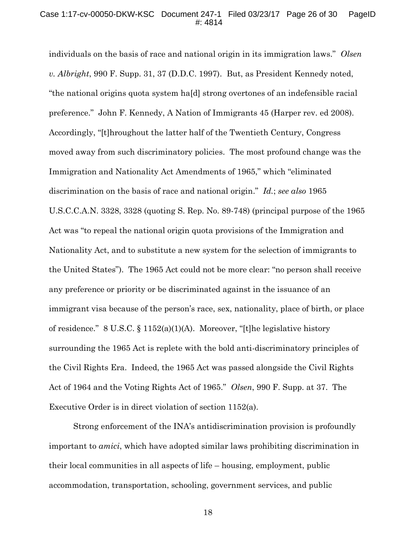individuals on the basis of race and national origin in its immigration laws." *Olsen v. Albright*, 990 F. Supp. 31, 37 (D.D.C. 1997). But, as President Kennedy noted, "the national origins quota system ha[d] strong overtones of an indefensible racial preference." John F. Kennedy, A Nation of Immigrants 45 (Harper rev. ed 2008). Accordingly, "[t]hroughout the latter half of the Twentieth Century, Congress moved away from such discriminatory policies. The most profound change was the Immigration and Nationality Act Amendments of 1965," which "eliminated discrimination on the basis of race and national origin." *Id.*; *see also* 1965 U.S.C.C.A.N. 3328, 3328 (quoting S. Rep. No. 89-748) (principal purpose of the 1965 Act was "to repeal the national origin quota provisions of the Immigration and Nationality Act, and to substitute a new system for the selection of immigrants to the United States"). The 1965 Act could not be more clear: "no person shall receive any preference or priority or be discriminated against in the issuance of an immigrant visa because of the person's race, sex, nationality, place of birth, or place of residence." 8 U.S.C. § 1152(a)(1)(A). Moreover, "[t]he legislative history surrounding the 1965 Act is replete with the bold anti-discriminatory principles of the Civil Rights Era. Indeed, the 1965 Act was passed alongside the Civil Rights Act of 1964 and the Voting Rights Act of 1965." *Olsen*, 990 F. Supp. at 37. The Executive Order is in direct violation of section 1152(a).

Strong enforcement of the INA's antidiscrimination provision is profoundly important to *amici*, which have adopted similar laws prohibiting discrimination in their local communities in all aspects of life – housing, employment, public accommodation, transportation, schooling, government services, and public

18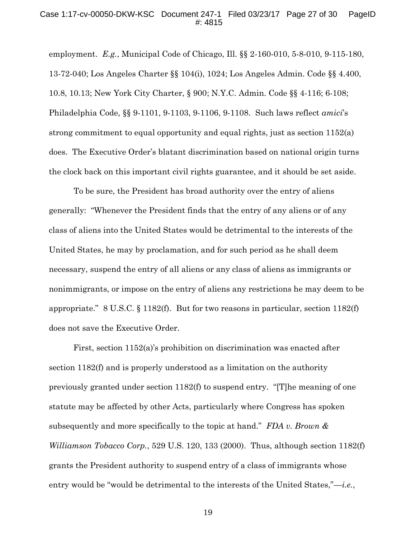#### Case 1:17-cv-00050-DKW-KSC Document 247-1 Filed 03/23/17 Page 27 of 30 PageID #: 4815

employment. *E.g.*, Municipal Code of Chicago, Ill. §§ 2-160-010, 5-8-010, 9-115-180, 13-72-040; Los Angeles Charter §§ 104(i), 1024; Los Angeles Admin. Code §§ 4.400, 10.8, 10.13; New York City Charter, § 900; N.Y.C. Admin. Code §§ 4-116; 6-108; Philadelphia Code, §§ 9-1101, 9-1103, 9-1106, 9-1108. Such laws reflect *amici*'s strong commitment to equal opportunity and equal rights, just as section 1152(a) does. The Executive Order's blatant discrimination based on national origin turns the clock back on this important civil rights guarantee, and it should be set aside.

To be sure, the President has broad authority over the entry of aliens generally: "Whenever the President finds that the entry of any aliens or of any class of aliens into the United States would be detrimental to the interests of the United States, he may by proclamation, and for such period as he shall deem necessary, suspend the entry of all aliens or any class of aliens as immigrants or nonimmigrants, or impose on the entry of aliens any restrictions he may deem to be appropriate." 8 U.S.C. § 1182(f). But for two reasons in particular, section 1182(f) does not save the Executive Order.

First, section 1152(a)'s prohibition on discrimination was enacted after section 1182(f) and is properly understood as a limitation on the authority previously granted under section 1182(f) to suspend entry. "[T]he meaning of one statute may be affected by other Acts, particularly where Congress has spoken subsequently and more specifically to the topic at hand." *FDA v. Brown & Williamson Tobacco Corp.*, 529 U.S. 120, 133 (2000). Thus, although section 1182(f) grants the President authority to suspend entry of a class of immigrants whose entry would be "would be detrimental to the interests of the United States,"—*i.e.*,

19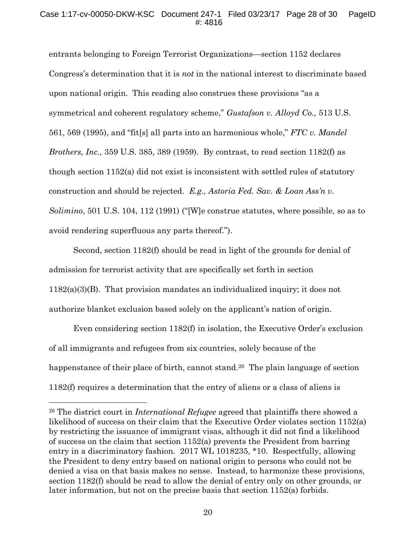## Case 1:17-cv-00050-DKW-KSC Document 247-1 Filed 03/23/17 Page 28 of 30 PageID #: 4816

entrants belonging to Foreign Terrorist Organizations—section 1152 declares Congress's determination that it is *not* in the national interest to discriminate based upon national origin. This reading also construes these provisions "as a symmetrical and coherent regulatory scheme," *Gustafson v. Alloyd Co.,* 513 U.S. 561, 569 (1995), and "fit[s] all parts into an harmonious whole," *FTC v. Mandel Brothers, Inc.,* 359 U.S. 385, 389 (1959). By contrast, to read section 1182(f) as though section 1152(a) did not exist is inconsistent with settled rules of statutory construction and should be rejected. *E.g., Astoria Fed. Sav. & Loan Ass'n v. Solimino*, 501 U.S. 104, 112 (1991) ("[W]e construe statutes, where possible, so as to avoid rendering superfluous any parts thereof.").

Second, section 1182(f) should be read in light of the grounds for denial of admission for terrorist activity that are specifically set forth in section 1182(a)(3)(B). That provision mandates an individualized inquiry; it does not authorize blanket exclusion based solely on the applicant's nation of origin.

Even considering section 1182(f) in isolation, the Executive Order's exclusion of all immigrants and refugees from six countries, solely because of the happenstance of their place of birth, cannot stand.<sup>26</sup> The plain language of section 1182(f) requires a determination that the entry of aliens or a class of aliens is

<sup>26</sup> The district court in *International Refugee* agreed that plaintiffs there showed a likelihood of success on their claim that the Executive Order violates section 1152(a) by restricting the issuance of immigrant visas, although it did not find a likelihood of success on the claim that section 1152(a) prevents the President from barring entry in a discriminatory fashion. 2017 WL 1018235, \*10. Respectfully, allowing the President to deny entry based on national origin to persons who could not be denied a visa on that basis makes no sense. Instead, to harmonize these provisions, section 1182(f) should be read to allow the denial of entry only on other grounds, or later information, but not on the precise basis that section 1152(a) forbids.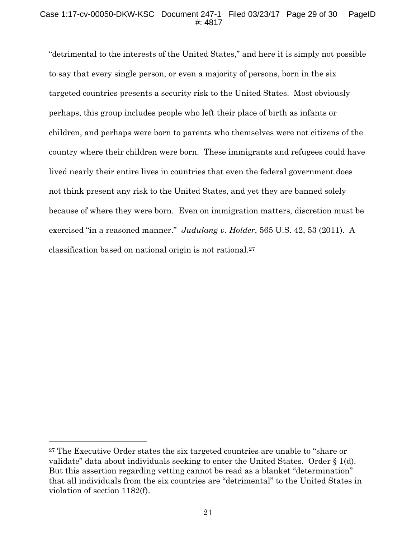## Case 1:17-cv-00050-DKW-KSC Document 247-1 Filed 03/23/17 Page 29 of 30 PageID #: 4817

"detrimental to the interests of the United States," and here it is simply not possible to say that every single person, or even a majority of persons, born in the six targeted countries presents a security risk to the United States. Most obviously perhaps, this group includes people who left their place of birth as infants or children, and perhaps were born to parents who themselves were not citizens of the country where their children were born. These immigrants and refugees could have lived nearly their entire lives in countries that even the federal government does not think present any risk to the United States, and yet they are banned solely because of where they were born. Even on immigration matters, discretion must be exercised "in a reasoned manner." *Judulang v. Holder*, 565 U.S. 42, 53 (2011). A classification based on national origin is not rational.27

<sup>27</sup> The Executive Order states the six targeted countries are unable to "share or validate" data about individuals seeking to enter the United States. Order § 1(d). But this assertion regarding vetting cannot be read as a blanket "determination" that all individuals from the six countries are "detrimental" to the United States in violation of section 1182(f).